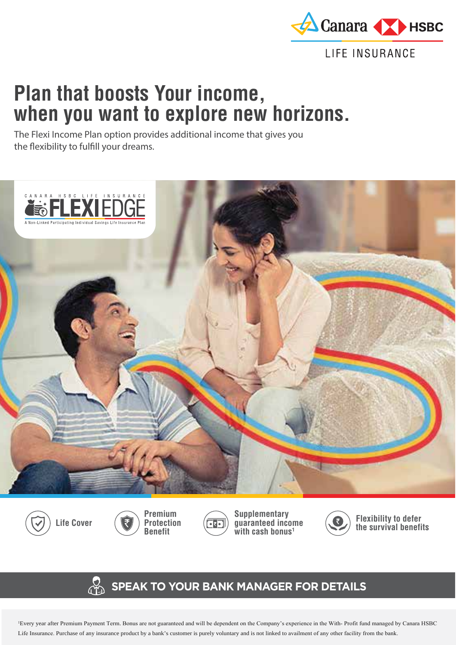

# **Plan that boosts Your income, when you want to explore new horizons.**

The Flexi Income Plan option provides additional income that gives you the flexibility to fulfill your dreams.









**Supplementary guaranteed income with cash bonus1**



**Flexibility to defer the Cover**  $\left(\sqrt{2}x\right)$  Protection  $\left(\sqrt{2}x\right)$  guaranteed income  $\left(\sqrt{2}x\right)$  the survival benefits

# **SPEAK TO YOUR BANK MANAGER FOR DETAILS**

<sup>1</sup>Every year after Premium Payment Term. Bonus are not guaranteed and will be dependent on the Company's experience in the With- Profit fund managed by Canara HSBC Life Insurance. Purchase of any insurance product by a bank's customer is purely voluntary and is not linked to availment of any other facility from the bank.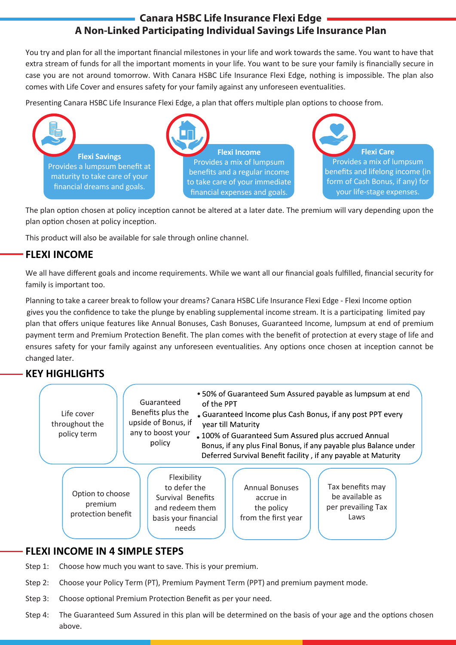# **Canara HSBC Life Insurance Flexi Edge A Non-Linked Participating Individual Savings Life Insurance Plan**

You try and plan for all the important financial milestones in your life and work towards the same. You want to have that extra stream of funds for all the important moments in your life. You want to be sure your family is financially secure in case you are not around tomorrow. With Canara HSBC Life Insurance Flexi Edge, nothing is impossible. The plan also comes with Life Cover and ensures safety for your family against any unforeseen eventualities.

Presenting Canara HSBC Life Insurance Flexi Edge, a plan that offers multiple plan options to choose from.

**Flexi Savings** Provides a lumpsum benefit at maturity to take care of your financial dreams and goals.



**Flexi Care** Provides a mix of lumpsum benefits and lifelong income (in form of Cash Bonus, if any) for your life-stage expenses.

The plan option chosen at policy inception cannot be altered at a later date. The premium will vary depending upon the plan option chosen at policy inception.

This product will also be available for sale through online channel.

# **FLEXI INCOME**

We all have different goals and income requirements. While we want all our financial goals fulfilled, financial security for family is important too.

Planning to take a career break to follow your dreams? Canara HSBC Life Insurance Flexi Edge - Flexi Income option gives you the confidence to take the plunge by enabling supplemental income stream. It is a participating limited pay plan that offers unique features like Annual Bonuses, Cash Bonuses, Guaranteed Income, lumpsum at end of premium payment term and Premium Protection Benefit. The plan comes with the benefit of protection at every stage of life and ensures safety for your family against any unforeseen eventualities. Any options once chosen at inception cannot be changed later.

# **KEY HIGHLIGHTS**

| • 50% of Guaranteed Sum Assured payable as lumpsum at end<br>Guaranteed<br>of the PPT<br>Benefits plus the<br>Life cover<br>. Guaranteed Income plus Cash Bonus, if any post PPT every<br>upside of Bonus, if<br>throughout the<br>year till Maturity<br>any to boost your<br>policy term<br>. 100% of Guaranteed Sum Assured plus accrued Annual<br>policy<br>Bonus, if any plus Final Bonus, if any payable plus Balance under<br>Deferred Survival Benefit facility, if any payable at Maturity |                                                                                                      |                                                                         |                                                                   |  |
|----------------------------------------------------------------------------------------------------------------------------------------------------------------------------------------------------------------------------------------------------------------------------------------------------------------------------------------------------------------------------------------------------------------------------------------------------------------------------------------------------|------------------------------------------------------------------------------------------------------|-------------------------------------------------------------------------|-------------------------------------------------------------------|--|
| Option to choose<br>premium<br>protection benefit                                                                                                                                                                                                                                                                                                                                                                                                                                                  | Flexibility<br>to defer the<br>Survival Benefits<br>and redeem them<br>basis your financial<br>needs | <b>Annual Bonuses</b><br>accrue in<br>the policy<br>from the first year | Tax benefits may<br>be available as<br>per prevailing Tax<br>Laws |  |

# **FLEXI INCOME IN 4 SIMPLE STEPS**

- Step 1: Choose how much you want to save. This is your premium.
- Step 2: Choose your Policy Term (PT), Premium Payment Term (PPT) and premium payment mode.
- Step 3: Choose optional Premium Protection Benefit as per your need.
- Step 4: The Guaranteed Sum Assured in this plan will be determined on the basis of your age and the options chosen above.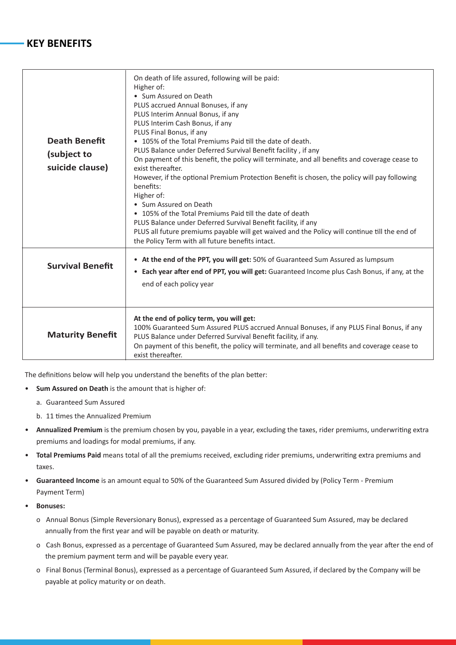# **KEY BENEFITS**

| <b>Death Benefit</b><br>(subject to<br>suicide clause) | On death of life assured, following will be paid:<br>Higher of:<br>• Sum Assured on Death<br>PLUS accrued Annual Bonuses, if any<br>PLUS Interim Annual Bonus, if any<br>PLUS Interim Cash Bonus, if any<br>PLUS Final Bonus, if any<br>• 105% of the Total Premiums Paid till the date of death.<br>PLUS Balance under Deferred Survival Benefit facility, if any<br>On payment of this benefit, the policy will terminate, and all benefits and coverage cease to<br>exist thereafter.<br>However, if the optional Premium Protection Benefit is chosen, the policy will pay following<br>benefits:<br>Higher of:<br>• Sum Assured on Death<br>• 105% of the Total Premiums Paid till the date of death<br>PLUS Balance under Deferred Survival Benefit facility, if any<br>PLUS all future premiums payable will get waived and the Policy will continue till the end of<br>the Policy Term with all future benefits intact. |
|--------------------------------------------------------|---------------------------------------------------------------------------------------------------------------------------------------------------------------------------------------------------------------------------------------------------------------------------------------------------------------------------------------------------------------------------------------------------------------------------------------------------------------------------------------------------------------------------------------------------------------------------------------------------------------------------------------------------------------------------------------------------------------------------------------------------------------------------------------------------------------------------------------------------------------------------------------------------------------------------------|
| <b>Survival Benefit</b>                                | • At the end of the PPT, you will get: 50% of Guaranteed Sum Assured as lumpsum<br>• Each year after end of PPT, you will get: Guaranteed Income plus Cash Bonus, if any, at the<br>end of each policy year                                                                                                                                                                                                                                                                                                                                                                                                                                                                                                                                                                                                                                                                                                                     |
| <b>Maturity Benefit</b>                                | At the end of policy term, you will get:<br>100% Guaranteed Sum Assured PLUS accrued Annual Bonuses, if any PLUS Final Bonus, if any<br>PLUS Balance under Deferred Survival Benefit facility, if any.<br>On payment of this benefit, the policy will terminate, and all benefits and coverage cease to<br>exist thereafter.                                                                                                                                                                                                                                                                                                                                                                                                                                                                                                                                                                                                    |

The definitions below will help you understand the benefits of the plan better:

- **Sum Assured on Death** is the amount that is higher of:
	- a. Guaranteed Sum Assured
	- b. 11 times the Annualized Premium
- **Annualized Premium** is the premium chosen by you, payable in a year, excluding the taxes, rider premiums, underwriting extra premiums and loadings for modal premiums, if any.
- **Total Premiums Paid** means total of all the premiums received, excluding rider premiums, underwriting extra premiums and taxes.
- **Guaranteed Income** is an amount equal to 50% of the Guaranteed Sum Assured divided by (Policy Term Premium Payment Term)
- **Bonuses:**
	- o Annual Bonus (Simple Reversionary Bonus), expressed as a percentage of Guaranteed Sum Assured, may be declared annually from the first year and will be payable on death or maturity.
	- o Cash Bonus, expressed as a percentage of Guaranteed Sum Assured, may be declared annually from the year after the end of the premium payment term and will be payable every year.
	- o Final Bonus (Terminal Bonus), expressed as a percentage of Guaranteed Sum Assured, if declared by the Company will be payable at policy maturity or on death.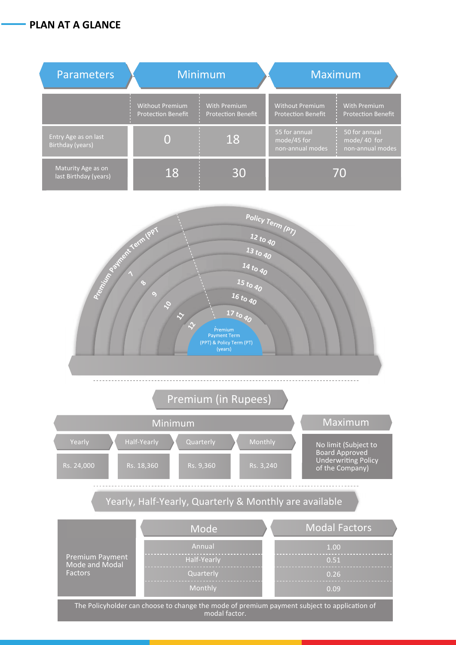# **PLAN AT A GLANCE**

| <b>Parameters</b>                           | <b>Minimum</b>                                      |                                                  | <b>Maximum</b>                                      |                                                  |
|---------------------------------------------|-----------------------------------------------------|--------------------------------------------------|-----------------------------------------------------|--------------------------------------------------|
|                                             | <b>Without Premium</b><br><b>Protection Benefit</b> | <b>With Premium</b><br><b>Protection Benefit</b> | <b>Without Premium</b><br><b>Protection Benefit</b> | <b>With Premium</b><br><b>Protection Benefit</b> |
| Entry Age as on last<br>Birthday (years)    | $\overline{0}$                                      | 18                                               | 55 for annual<br>mode/45 for<br>non-annual modes    | 50 for annual<br>mode/40 for<br>non-annual modes |
| Maturity Age as on<br>last Birthday (years) | 18                                                  | 30                                               | 70                                                  |                                                  |

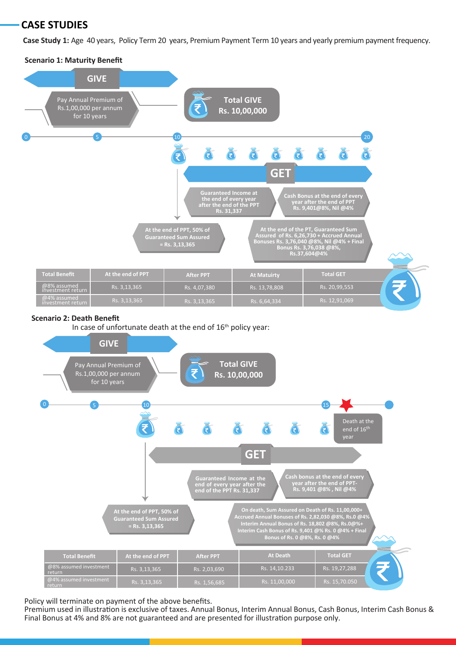# **CASE STUDIES**

Case Study 1: Age 40 years. Policy Term 20 years. Premium Payment Term 10 years and yearly premium payment frequency.



#### **Scenario 2: Death Benefit**

In case of unfortunate death at the end of 16<sup>th</sup> policy year:



Policy will terminate on payment of the above benefits.

Premium used in illustration is exclusive of taxes. Annual Bonus, Interim Annual Bonus, Cash Bonus, Interim Cash Bonus & Final Bonus at 4% and 8% are not guaranteed and are presented for illustration purpose only.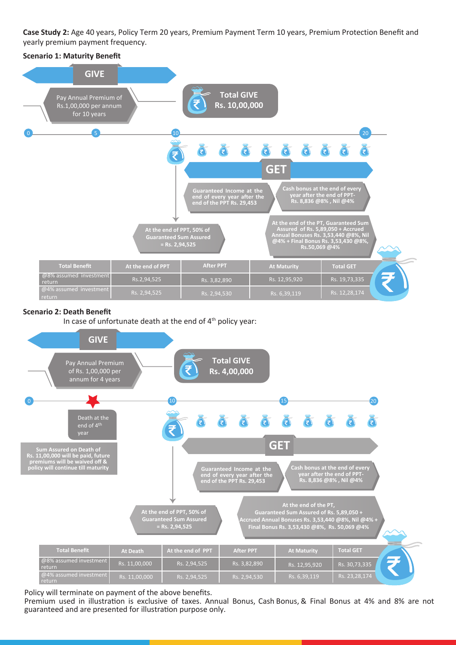Case Study 2: Age 40 years, Policy Term 20 years, Premium Payment Term 10 years, Premium Protection Benefit and yearly premium payment frequency.



#### **Scenario 2: Death Benefit**

In case of unfortunate death at the end of 4<sup>th</sup> policy year:



Policy will terminate on payment of the above benefits.

Premium used in illustration is exclusive of taxes. Annual Bonus, Cash Bonus, & Final Bonus at 4% and 8% are not guaranteed and are presented for illustration purpose only.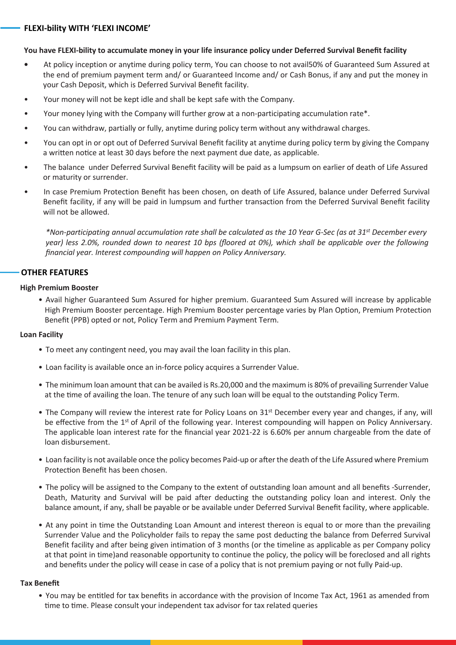#### **You have FLEXI-bility to accumulate money in your life insurance policy under Deferred Survival Benefit facility**

- **•** At policy inception or anytime during policy term, You can choose to not avail50% of Guaranteed Sum Assured at the end of premium payment term and/ or Guaranteed Income and/ or Cash Bonus, if any and put the money in your Cash Deposit, which is Deferred Survival Benefit facility.
- Your money will not be kept idle and shall be kept safe with the Company.
- Your money lying with the Company will further grow at a non-participating accumulation rate\*.
- You can withdraw, partially or fully, anytime during policy term without any withdrawal charges.
- You can opt in or opt out of Deferred Survival Benefit facility at anytime during policy term by giving the Company a written notice at least 30 days before the next payment due date, as applicable.
- The balance under Deferred Survival Benefit facility will be paid as a lumpsum on earlier of death of Life Assured or maturity or surrender.
- In case Premium Protection Benefit has been chosen, on death of Life Assured, balance under Deferred Survival Benefit facility, if any will be paid in lumpsum and further transaction from the Deferred Survival Benefit facility will not be allowed.

*financial year. Interest compounding will happen on Policy Anniversary. \*Non-participating annual accumulation rate shall be calculated as the 10 Year G-Sec (as at 31st December every year) less 2.0%, rounded down to nearest 10 bps (floored at 0%), which shall be applicable over the following* 

#### **OTHER FEATURES**

#### **High Premium Booster**

• Avail higher Guaranteed Sum Assured for higher premium. Guaranteed Sum Assured will increase by applicable High Premium Booster percentage. High Premium Booster percentage varies by Plan Option, Premium Protection Benefit (PPB) opted or not, Policy Term and Premium Payment Term.

#### **Loan Facility**

- To meet any contingent need, you may avail the loan facility in this plan.
- Loan facility is available once an in-force policy acquires a Surrender Value.
- The minimum loan amount that can be availed is Rs.20,000 and the maximum is 80% of prevailing Surrender Value at the time of availing the loan. The tenure of any such loan will be equal to the outstanding Policy Term.
- The Company will review the interest rate for Policy Loans on 31<sup>st</sup> December every year and changes, if any, will be effective from the 1<sup>st</sup> of April of the following year. Interest compounding will happen on Policy Anniversary. The applicable loan interest rate for the financial year 2021-22 is 6.60% per annum chargeable from the date of loan disbursement.
- Loan facility is not available once the policy becomes Paid-up or after the death of the Life Assured where Premium Protection Benefit has been chosen.
- The policy will be assigned to the Company to the extent of outstanding loan amount and all benefits -Surrender, Death, Maturity and Survival will be paid after deducting the outstanding policy loan and interest. Only the balance amount, if any, shall be payable or be available under Deferred Survival Benefit facility, where applicable.
- At any point in time the Outstanding Loan Amount and interest thereon is equal to or more than the prevailing Surrender Value and the Policyholder fails to repay the same post deducting the balance from Deferred Survival Benefit facility and after being given intimation of 3 months (or the timeline as applicable as per Company policy at that point in time)and reasonable opportunity to continue the policy, the policy will be foreclosed and all rights and benefits under the policy will cease in case of a policy that is not premium paying or not fully Paid-up.

#### **Tax Benefit**

• You may be entitled for tax benefits in accordance with the provision of Income Tax Act, 1961 as amended from time to time. Please consult your independent tax advisor for tax related queries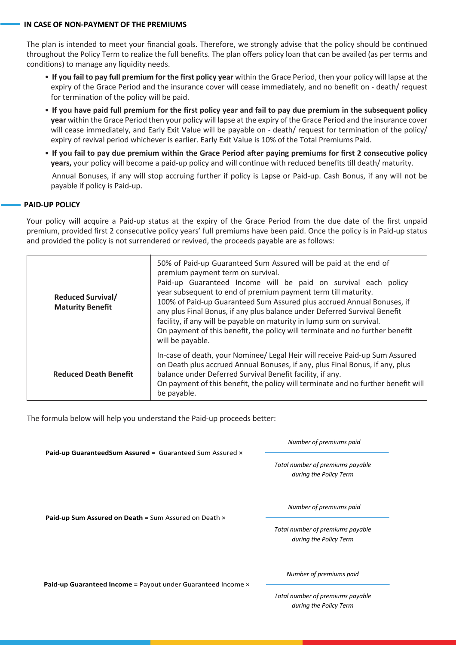#### **IN CASE OF NON-PAYMENT OF THE PREMIUMS**

The plan is intended to meet your financial goals. Therefore, we strongly advise that the policy should be continued throughout the Policy Term to realize the full benefits. The plan offers policy loan that can be availed (as per terms and conditions) to manage any liquidity needs.

- **If you fail to pay full premium for the first policy year** within the Grace Period, then your policy will lapse at the expiry of the Grace Period and the insurance cover will cease immediately, and no benefit on - death/ request for termination of the policy will be paid.
- **If you have paid full premium for the first policy year and fail to pay due premium in the subsequent policy year** within the Grace Period then your policy will lapse at the expiry of the Grace Period and the insurance cover will cease immediately, and Early Exit Value will be payable on - death/ request for termination of the policy/ expiry of revival period whichever is earlier. Early Exit Value is 10% of the Total Premiums Paid.
- **If you fail to pay due premium within the Grace Period after paying premiums for first 2 consecutive policy years,** your policy will become a paid-up policy and will continue with reduced benefits till death/ maturity.

Annual Bonuses, if any will stop accruing further if policy is Lapse or Paid-up. Cash Bonus, if any will not be payable if policy is Paid-up.

#### **PAID-UP POLICY**

Your policy will acquire a Paid-up status at the expiry of the Grace Period from the due date of the first unpaid premium, provided first 2 consecutive policy years' full premiums have been paid. Once the policy is in Paid-up status and provided the policy is not surrendered or revived, the proceeds payable are as follows:

| <b>Reduced Survival/</b><br><b>Maturity Benefit</b> | 50% of Paid-up Guaranteed Sum Assured will be paid at the end of<br>premium payment term on survival.<br>Paid-up Guaranteed Income will be paid on survival each policy<br>year subsequent to end of premium payment term till maturity.<br>100% of Paid-up Guaranteed Sum Assured plus accrued Annual Bonuses, if<br>any plus Final Bonus, if any plus balance under Deferred Survival Benefit<br>facility, if any will be payable on maturity in lump sum on survival.<br>On payment of this benefit, the policy will terminate and no further benefit<br>will be payable. |  |
|-----------------------------------------------------|------------------------------------------------------------------------------------------------------------------------------------------------------------------------------------------------------------------------------------------------------------------------------------------------------------------------------------------------------------------------------------------------------------------------------------------------------------------------------------------------------------------------------------------------------------------------------|--|
| <b>Reduced Death Benefit</b>                        | In-case of death, your Nominee/ Legal Heir will receive Paid-up Sum Assured<br>on Death plus accrued Annual Bonuses, if any, plus Final Bonus, if any, plus<br>balance under Deferred Survival Benefit facility, if any.<br>On payment of this benefit, the policy will terminate and no further benefit will<br>be payable.                                                                                                                                                                                                                                                 |  |

The formula below will help you understand the Paid-up proceeds better:

*Number of premiums paid*

**Paid-up GuaranteedSum Assured =** Guaranteed Sum Assured ×

*Total number of premiums payable during the Policy Term*

*Number of premiums paid*

**Paid-up Sum Assured on Death =** Sum Assured on Death ×

*Total number of premiums payable during the Policy Term*

*Number of premiums paid*

**Paid-up Guaranteed Income =** Payout under Guaranteed Income ×

*Total number of premiums payable during the Policy Term*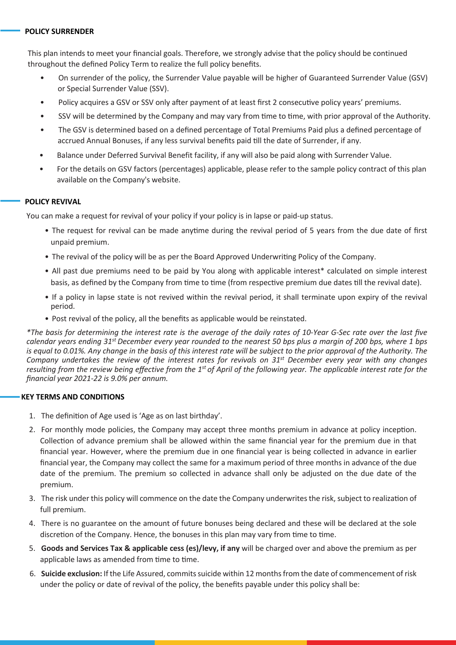#### **POLICY SURRENDER**

This plan intends to meet your financial goals. Therefore, we strongly advise that the policy should be continued throughout the defined Policy Term to realize the full policy benefits.

- On surrender of the policy, the Surrender Value payable will be higher of Guaranteed Surrender Value (GSV) or Special Surrender Value (SSV).
- Policy acquires a GSV or SSV only after payment of at least first 2 consecutive policy years' premiums.
- SSV will be determined by the Company and may vary from time to time, with prior approval of the Authority.
- The GSV is determined based on a defined percentage of Total Premiums Paid plus a defined percentage of accrued Annual Bonuses, if any less survival benefits paid till the date of Surrender, if any.
- Balance under Deferred Survival Benefit facility, if any will also be paid along with Surrender Value.
- For the details on GSV factors (percentages) applicable, please refer to the sample policy contract of this plan available on the Company's website.

#### **POLICY REVIVAL**

You can make a request for revival of your policy if your policy is in lapse or paid-up status.

- The request for revival can be made anytime during the revival period of 5 years from the due date of first unpaid premium.
- The revival of the policy will be as per the Board Approved Underwriting Policy of the Company.
- All past due premiums need to be paid by You along with applicable interest\* calculated on simple interest basis, as defined by the Company from time to time (from respective premium due dates till the revival date).
- If a policy in lapse state is not revived within the revival period, it shall terminate upon expiry of the revival period.
- Post revival of the policy, all the benefits as applicable would be reinstated.

*\*The basis for determining the interest rate is the average of the daily rates of 10-Year G-Sec rate over the last five calendar years ending 31st December every year rounded to the nearest 50 bps plus a margin of 200 bps, where 1 bps is equal to 0.01%. Any change in the basis of this interest rate will be subject to the prior approval of the Authority. The Company undertakes the review of the interest rates for revivals on 31st December every year with any changes resulting from the review being effective from the 1st of April of the following year. The applicable interest rate for the financial year 2021-22 is 9.0% per annum.*

#### **KEY TERMS AND CONDITIONS**

- 1. The definition of Age used is 'Age as on last birthday'.
- 2. For monthly mode policies, the Company may accept three months premium in advance at policy inception. Collection of advance premium shall be allowed within the same financial year for the premium due in that financial year. However, where the premium due in one financial year is being collected in advance in earlier financial year, the Company may collect the same for a maximum period of three months in advance of the due date of the premium. The premium so collected in advance shall only be adjusted on the due date of the premium.
- 3. The risk under this policy will commence on the date the Company underwrites the risk, subject to realization of full premium.
- 4. There is no guarantee on the amount of future bonuses being declared and these will be declared at the sole discretion of the Company. Hence, the bonuses in this plan may vary from time to time.
- 5. **Goods and Services Tax & applicable cess (es)/levy, if any** will be charged over and above the premium as per applicable laws as amended from time to time.
- 6. **Suicide exclusion:** If the Life Assured, commits suicide within 12 months from the date of commencement of risk under the policy or date of revival of the policy, the benefits payable under this policy shall be: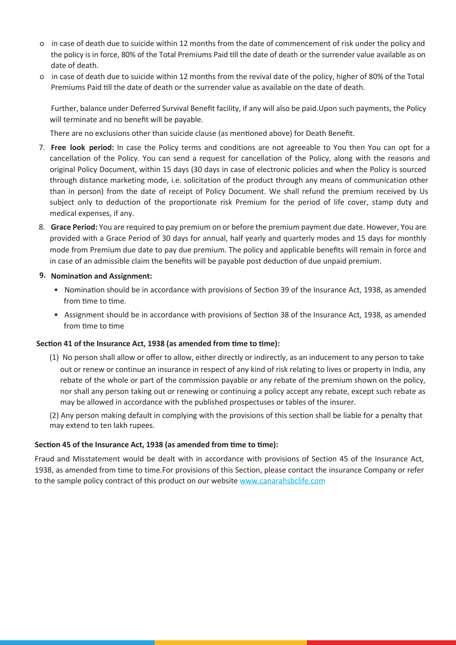- o in case of death due to suicide within 12 months from the date of commencement of risk under the policy and the policy is in force, 80% of the Total Premiums Paid till the date of death or the surrender value available as on date of death.
- o in case of death due to suicide within 12 months from the revival date of the policy, higher of 80% of the Total Premiums Paid till the date of death or the surrender value as available on the date of death.

Further, balance under Deferred Survival Benefit facility, if any will also be paid.Upon such payments, the Policy will terminate and no benefit will be payable.

There are no exclusions other than suicide clause (as mentioned above) for Death Benefit.

- 7. **Free look period:** In case the Policy terms and conditions are not agreeable to You then You can opt for a cancellation of the Policy. You can send a request for cancellation of the Policy, along with the reasons and original Policy Document, within 15 days (30 days in case of electronic policies and when the Policy is sourced through distance marketing mode, i.e. solicitation of the product through any means of communication other than in person) from the date of receipt of Policy Document. We shall refund the premium received by Us subject only to deduction of the proportionate risk Premium for the period of life cover, stamp duty and medical expenses, if any.
- 8. **Grace Period:** You are required to pay premium on or before the premium payment due date. However, You are provided with a Grace Period of 30 days for annual, half yearly and quarterly modes and 15 days for monthly mode from Premium due date to pay due premium. The policy and applicable benefits will remain in force and in case of an admissible claim the benefits will be payable post deduction of due unpaid premium.

#### **Nomination and Assignment: 9.**

- Nomination should be in accordance with provisions of Section 39 of the Insurance Act, 1938, as amended from time to time.
- Assignment should be in accordance with provisions of Section 38 of the Insurance Act, 1938, as amended from time to time

#### **Section 41 of the Insurance Act, 1938 (as amended from time to time):**

(1) No person shall allow or offer to allow, either directly or indirectly, as an inducement to any person to take out or renew or continue an insurance in respect of any kind of risk relating to lives or property in India, any rebate of the whole or part of the commission payable or any rebate of the premium shown on the policy, nor shall any person taking out or renewing or continuing a policy accept any rebate, except such rebate as may be allowed in accordance with the published prospectuses or tables of the insurer.

(2) Any person making default in complying with the provisions of this section shall be liable for a penalty that may extend to ten lakh rupees.

#### **Section 45 of the Insurance Act, 1938 (as amended from time to time):**

Fraud and Misstatement would be dealt with in accordance with provisions of Section 45 of the Insurance Act, 1938, as amended from time to time.For provisions of this Section, please contact the insurance Company or refer to the sample policy contract of this product on our website www.canarahsbclife.com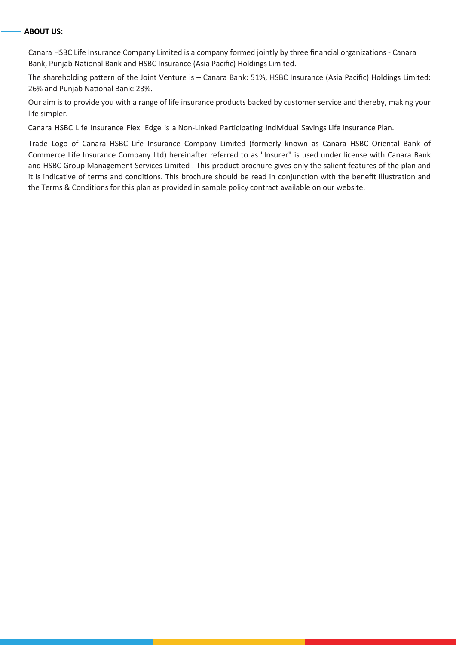#### **ABOUT US:**

Canara HSBC Life Insurance Company Limited is a company formed jointly by three financial organizations - Canara Bank, Punjab National Bank and HSBC Insurance (Asia Pacific) Holdings Limited.

The shareholding pattern of the Joint Venture is – Canara Bank: 51%, HSBC Insurance (Asia Pacific) Holdings Limited: 26% and Punjab National Bank: 23%.

Our aim is to provide you with a range of life insurance products backed by customer service and thereby, making your life simpler.

Canara HSBC Life Insurance Flexi Edge is a Non-Linked Participating Individual Savings Life Insurance Plan.

Trade Logo of Canara HSBC Life Insurance Company Limited (formerly known as Canara HSBC Oriental Bank of Commerce Life Insurance Company Ltd) hereinafter referred to as "Insurer" is used under license with Canara Bank and HSBC Group Management Services Limited . This product brochure gives only the salient features of the plan and it is indicative of terms and conditions. This brochure should be read in conjunction with the benefit illustration and the Terms & Conditions for this plan as provided in sample policy contract available on our website.